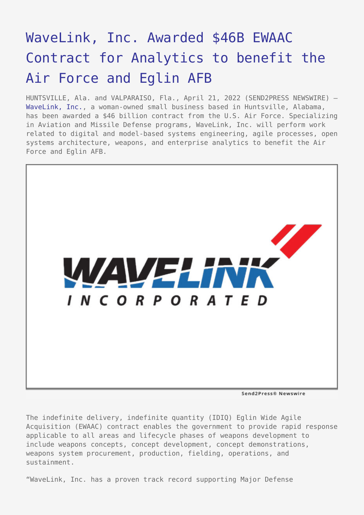## [WaveLink, Inc. Awarded \\$46B EWAAC](https://www.send2press.com/wire/wavelink-inc-awarded-46b-ewaac-contract-for-analytics-to-benefit-the-air-force-and-eglin-afb/) [Contract for Analytics to benefit the](https://www.send2press.com/wire/wavelink-inc-awarded-46b-ewaac-contract-for-analytics-to-benefit-the-air-force-and-eglin-afb/) [Air Force and Eglin AFB](https://www.send2press.com/wire/wavelink-inc-awarded-46b-ewaac-contract-for-analytics-to-benefit-the-air-force-and-eglin-afb/)

HUNTSVILLE, Ala. and VALPARAISO, Fla., April 21, 2022 (SEND2PRESS NEWSWIRE) — [WaveLink, Inc.](https://www.wavelinkinc.com/), a woman-owned small business based in Huntsville, Alabama, has been awarded a \$46 billion contract from the U.S. Air Force. Specializing in Aviation and Missile Defense programs, WaveLink, Inc. will perform work related to digital and model-based systems engineering, agile processes, open systems architecture, weapons, and enterprise analytics to benefit the Air Force and Eglin AFB.



Send2Press® Newswire

The indefinite delivery, indefinite quantity (IDIQ) Eglin Wide Agile Acquisition (EWAAC) contract enables the government to provide rapid response applicable to all areas and lifecycle phases of weapons development to include weapons concepts, concept development, concept demonstrations, weapons system procurement, production, fielding, operations, and sustainment.

"WaveLink, Inc. has a proven track record supporting Major Defense